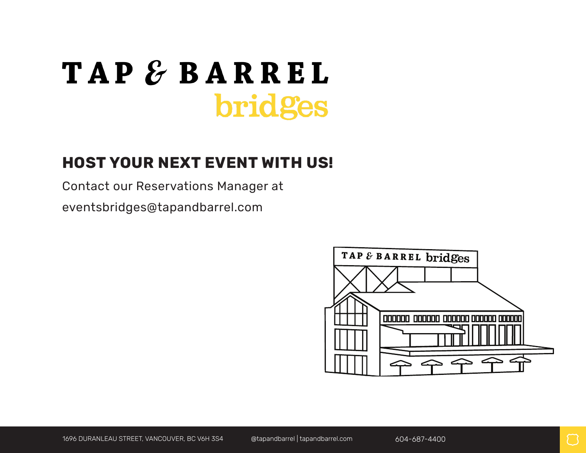# **TAP & BARREL** bridges

## **HOST YOUR NEXT EVENT WITH US!**

Contact our Reservations Manager at

eventsbridges@tapandbarrel.com

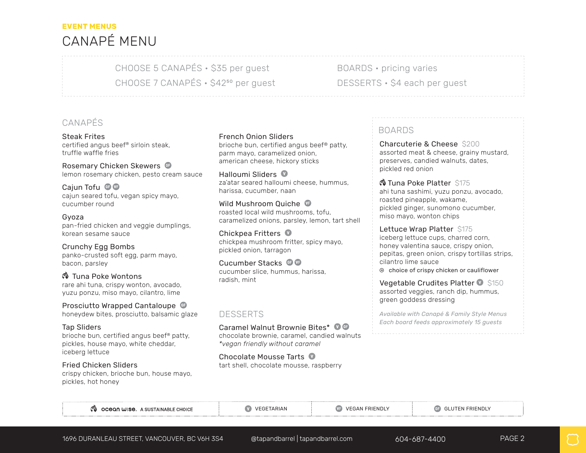## **EVENT MENUS**  CANAPÉ MENU

CHOOSE 5 CANAPÉS • \$35 per guest CHOOSE 7 CANAPÉS • \$4250 per guest BOARDS • pricing varies DESSERTS · \$4 each per quest

#### CANAPÉS

Steak Frites certified angus beef® sirloin steak, truffle waffle fries

Rosemary Chicken Skewers <sup>of</sup> lemon rosemary chicken, pesto cream sauce

Caiun Tofu <sup>o</sup> cajun seared tofu, vegan spicy mayo, cucumber round

Gyoza pan-fried chicken and veggie dumplings, korean sesame sauce

Crunchy Egg Bombs panko-crusted soft egg, parm mayo, bacon, parsley

 Tuna Poke Wontons rare ahi tuna, crispy wonton, avocado, yuzu ponzu, miso mayo, cilantro, lime

Prosciutto Wrapped Cantaloupe honeydew bites, prosciutto, balsamic glaze

Tap Sliders brioche bun, certified angus beef® patty, pickles, house mayo, white cheddar, iceberg lettuce

Fried Chicken Sliders crispy chicken, brioche bun, house mayo, pickles, hot honey

#### French Onion Sliders

brioche bun, certified angus beef® patty, parm mayo, caramelized onion, american cheese, hickory sticks

Halloumi Sliders za'atar seared halloumi cheese, hummus, harissa, cucumber, naan

Wild Mushroom Quiche roasted local wild mushrooms, tofu, caramelized onions, parsley, lemon, tart shell

Chickpea Fritters  $\bullet$ chickpea mushroom fritter, spicy mayo, pickled onion, tarragon

Cucumber Stacks <sup>G</sup> cucumber slice, hummus, harissa, radish, mint

#### DESSERTS

Caramel Walnut Brownie Bites\* 0 <sup>G</sup> chocolate brownie, caramel, candied walnuts *\*vegan friendly without caramel*

Chocolate Mousse Tarts tart shell, chocolate mousse, raspberry

#### BOARDS

Charcuterie & Cheese \$200 assorted meat & cheese, grainy mustard, preserves, candied walnuts, dates, pickled red onion

 $\circ$  Tuna Poke Platter \$175 ahi tuna sashimi, yuzu ponzu, avocado, roasted pineapple, wakame, pickled ginger, sunomono cucumber, miso mayo, wonton chips

Lettuce Wrap Platter \$175 iceberg lettuce cups, charred corn, honey valentina sauce, crispy onion, pepitas, green onion, crispy tortillas strips, cilantro lime sauce  $\odot$  choice of crispy chicken or cauliflower

Vegetable Crudites Platter  $\bullet$  \$150 assorted veggies, ranch dip, hummus, green goddess dressing

*Available with Canapé & Family Style Menus Each board feeds approximately 15 guests*

|  | ෑ ocean wise. A SUSTAINABLE CHOICE |
|--|------------------------------------|
|--|------------------------------------|